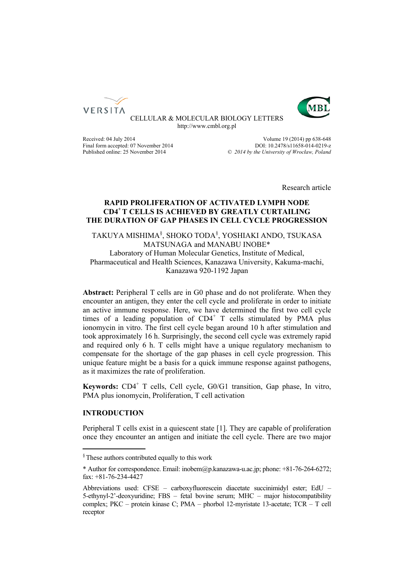



CELLULAR & MOLECULAR BIOLOGY LETTERS http://www.cmbl.org.pl

Received: 04 July 2014 2014 Final form accepted: 07 November 2014<br>
Published online: 25 November 2014<br>  $\degree$  2014 by the University of Wroclaw. Poland Published online: 25 November 2014 *© 2014 by the University of Wrocław, Poland*

Research article

# **RAPID PROLIFERATION OF ACTIVATED LYMPH NODE CD4+ T CELLS IS ACHIEVED BY GREATLY CURTAILING THE DURATION OF GAP PHASES IN CELL CYCLE PROGRESSION**

TAKUYA MISHIMA§ , SHOKO TODA§ , YOSHIAKI ANDO, TSUKASA MATSUNAGA and MANABU INOBE\* Laboratory of Human Molecular Genetics, Institute of Medical, Pharmaceutical and Health Sciences, Kanazawa University, Kakuma-machi, Kanazawa 920-1192 Japan

**Abstract:** Peripheral T cells are in G0 phase and do not proliferate. When they encounter an antigen, they enter the cell cycle and proliferate in order to initiate an active immune response. Here, we have determined the first two cell cycle times of a leading population of CD4<sup>+</sup> T cells stimulated by PMA plus ionomycin in vitro. The first cell cycle began around 10 h after stimulation and took approximately 16 h. Surprisingly, the second cell cycle was extremely rapid and required only 6 h. T cells might have a unique regulatory mechanism to compensate for the shortage of the gap phases in cell cycle progression. This unique feature might be a basis for a quick immune response against pathogens, as it maximizes the rate of proliferation.

Keywords: CD4<sup>+</sup> T cells, Cell cycle, G0/G1 transition, Gap phase, In vitro, PMA plus ionomycin, Proliferation, T cell activation

# **INTRODUCTION**

Peripheral T cells exist in a quiescent state [1]. They are capable of proliferation once they encounter an antigen and initiate the cell cycle. There are two major

<sup>§</sup> These authors contributed equally to this work

<sup>\*</sup> Author for correspondence. Email: inobem@p.kanazawa-u.ac.jp; phone: +81-76-264-6272; fax: +81-76-234-4427

Abbreviations used: CFSE – carboxyfluorescein diacetate succinimidyl ester; EdU – 5-ethynyl-2'-deoxyuridine; FBS – fetal bovine serum; MHC – major histocompatibility complex; PKC – protein kinase C; PMA – phorbol 12-myristate 13-acetate; TCR – T cell receptor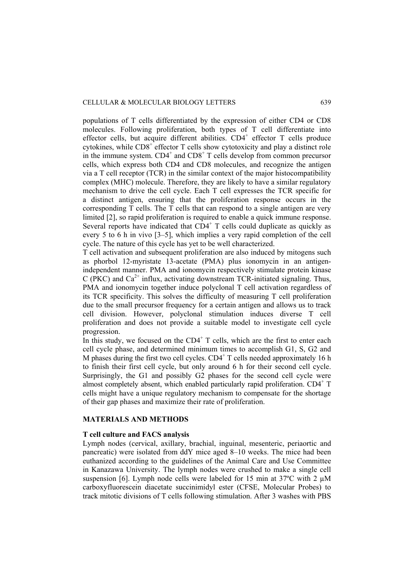populations of T cells differentiated by the expression of either CD4 or CD8 molecules. Following proliferation, both types of T cell differentiate into effector cells, but acquire different abilities. CD4<sup>+</sup> effector T cells produce cytokines, while  $CDS<sup>+</sup>$  effector T cells show cytotoxicity and play a distinct role in the immune system.  $CD4^+$  and  $CD8^+$  T cells develop from common precursor cells, which express both CD4 and CD8 molecules, and recognize the antigen via a T cell receptor (TCR) in the similar context of the major histocompatibility complex (MHC) molecule. Therefore, they are likely to have a similar regulatory mechanism to drive the cell cycle. Each T cell expresses the TCR specific for a distinct antigen, ensuring that the proliferation response occurs in the corresponding T cells. The T cells that can respond to a single antigen are very limited [2], so rapid proliferation is required to enable a quick immune response. Several reports have indicated that  $CD4^+$  T cells could duplicate as quickly as every 5 to 6 h in vivo [3–5], which implies a very rapid completion of the cell cycle. The nature of this cycle has yet to be well characterized.

T cell activation and subsequent proliferation are also induced by mitogens such as phorbol 12-myristate 13-acetate (PMA) plus ionomycin in an antigenindependent manner. PMA and ionomycin respectively stimulate protein kinase C (PKC) and  $Ca^{2+}$  influx, activating downstream TCR-initiated signaling. Thus, PMA and ionomycin together induce polyclonal T cell activation regardless of its TCR specificity. This solves the difficulty of measuring T cell proliferation due to the small precursor frequency for a certain antigen and allows us to track cell division. However, polyclonal stimulation induces diverse T cell proliferation and does not provide a suitable model to investigate cell cycle progression.

In this study, we focused on the  $CD4^+$  T cells, which are the first to enter each cell cycle phase, and determined minimum times to accomplish G1, S, G2 and M phases during the first two cell cycles.  $CD4^+$  T cells needed approximately 16 h to finish their first cell cycle, but only around 6 h for their second cell cycle. Surprisingly, the G1 and possibly G2 phases for the second cell cycle were almost completely absent, which enabled particularly rapid proliferation.  $CD4^+$  T cells might have a unique regulatory mechanism to compensate for the shortage of their gap phases and maximize their rate of proliferation.

#### **MATERIALS AND METHODS**

#### **T cell culture and FACS analysis**

Lymph nodes (cervical, axillary, brachial, inguinal, mesenteric, periaortic and pancreatic) were isolated from ddY mice aged 8–10 weeks. The mice had been euthanized according to the guidelines of the Animal Care and Use Committee in Kanazawa University. The lymph nodes were crushed to make a single cell suspension [6]. Lymph node cells were labeled for 15 min at  $37^{\circ}$ C with 2  $\mu$ M carboxyfluorescein diacetate succinimidyl ester (CFSE, Molecular Probes) to track mitotic divisions of T cells following stimulation. After 3 washes with PBS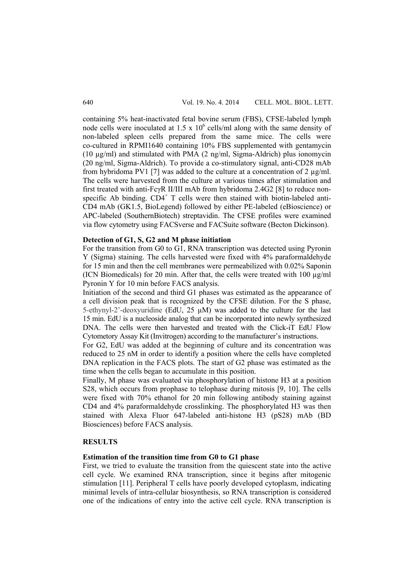containing 5% heat-inactivated fetal bovine serum (FBS), CFSE-labeled lymph node cells were inoculated at  $1.5 \times 10^6$  cells/ml along with the same density of non-labeled spleen cells prepared from the same mice. The cells were co-cultured in RPMI1640 containing 10% FBS supplemented with gentamycin (10  $\mu$ g/ml) and stimulated with PMA (2 ng/ml, Sigma-Aldrich) plus ionomycin (20 ng/ml, Sigma-Aldrich). To provide a co-stimulatory signal, anti-CD28 mAb from hybridoma PV1 [7] was added to the culture at a concentration of 2  $\mu$ g/ml. The cells were harvested from the culture at various times after stimulation and first treated with anti-FcγR II/III mAb from hybridoma 2.4G2 [8] to reduce nonspecific Ab binding.  $CD4^+$  T cells were then stained with biotin-labeled anti-CD4 mAb (GK1.5, BioLegend) followed by either PE-labeled (eBioscience) or APC-labeled (SouthernBiotech) streptavidin. The CFSE profiles were examined via flow cytometry using FACSverse and FACSuite software (Becton Dickinson).

# **Detection of G1, S, G2 and M phase initiation**

For the transition from G0 to G1, RNA transcription was detected using Pyronin Y (Sigma) staining. The cells harvested were fixed with 4% paraformaldehyde for 15 min and then the cell membranes were permeabilized with 0.02% Saponin (ICN Biomedicals) for 20 min. After that, the cells were treated with 100  $\mu$ g/ml Pyronin Y for 10 min before FACS analysis.

Initiation of the second and third G1 phases was estimated as the appearance of a cell division peak that is recognized by the CFSE dilution. For the S phase, 5-ethynyl-2'-deoxyuridine (EdU, 25 µM) was added to the culture for the last 15 min. EdU is a nucleoside analog that can be incorporated into newly synthesized DNA. The cells were then harvested and treated with the Click-iT EdU Flow Cytometory Assay Kit (Invitrogen) according to the manufacturer's instructions.

For G2, EdU was added at the beginning of culture and its concentration was reduced to 25 nM in order to identify a position where the cells have completed DNA replication in the FACS plots. The start of G2 phase was estimated as the time when the cells began to accumulate in this position.

Finally, M phase was evaluated via phosphorylation of histone H3 at a position S28, which occurs from prophase to telophase during mitosis [9, 10]. The cells were fixed with 70% ethanol for 20 min following antibody staining against CD4 and 4% paraformaldehyde crosslinking. The phosphorylated H3 was then stained with Alexa Fluor 647-labeled anti-histone H3 (pS28) mAb (BD Biosciences) before FACS analysis.

# **RESULTS**

# **Estimation of the transition time from G0 to G1 phase**

First, we tried to evaluate the transition from the quiescent state into the active cell cycle. We examined RNA transcription, since it begins after mitogenic stimulation [11]. Peripheral T cells have poorly developed cytoplasm, indicating minimal levels of intra-cellular biosynthesis, so RNA transcription is considered one of the indications of entry into the active cell cycle. RNA transcription is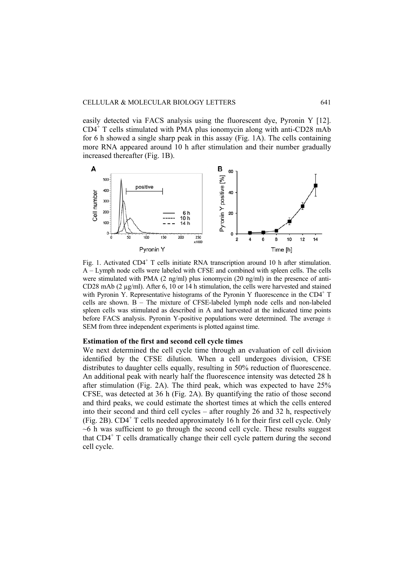easily detected via FACS analysis using the fluorescent dye, Pyronin Y [12]. CD4<sup>+</sup> T cells stimulated with PMA plus ionomycin along with anti-CD28 mAb for 6 h showed a single sharp peak in this assay (Fig. 1A). The cells containing more RNA appeared around 10 h after stimulation and their number gradually increased thereafter (Fig. 1B).



Fig. 1. Activated CD4<sup>+</sup> T cells initiate RNA transcription around 10 h after stimulation. A – Lymph node cells were labeled with CFSE and combined with spleen cells. The cells were stimulated with PMA  $(2 \text{ ng/ml})$  plus ionomycin  $(20 \text{ ng/ml})$  in the presence of anti-CD28 mAb (2 µg/ml). After 6, 10 or 14 h stimulation, the cells were harvested and stained with Pyronin Y. Representative histograms of the Pyronin Y fluorescence in the  $CD4^+$  T cells are shown. B – The mixture of CFSE-labeled lymph node cells and non-labeled spleen cells was stimulated as described in A and harvested at the indicated time points before FACS analysis. Pyronin Y-positive populations were determined. The average  $\pm$ SEM from three independent experiments is plotted against time.

# **Estimation of the first and second cell cycle times**

We next determined the cell cycle time through an evaluation of cell division identified by the CFSE dilution. When a cell undergoes division, CFSE distributes to daughter cells equally, resulting in 50% reduction of fluorescence. An additional peak with nearly half the fluorescence intensity was detected 28 h after stimulation (Fig. 2A). The third peak, which was expected to have 25% CFSE, was detected at 36 h (Fig. 2A). By quantifying the ratio of those second and third peaks, we could estimate the shortest times at which the cells entered into their second and third cell cycles – after roughly 26 and 32 h, respectively (Fig. 2B).  $CD4^+$  T cells needed approximately 16 h for their first cell cycle. Only ~6 h was sufficient to go through the second cell cycle. These results suggest that CD4<sup>+</sup> T cells dramatically change their cell cycle pattern during the second cell cycle.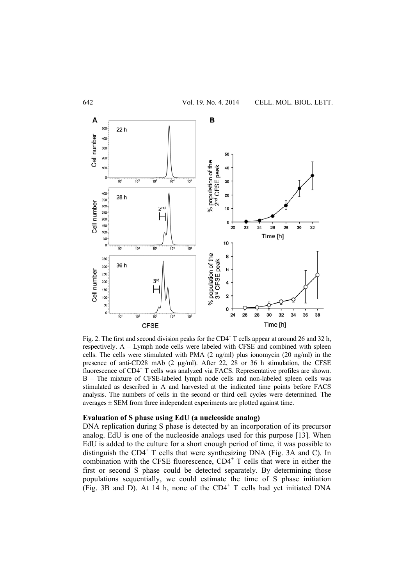

Fig. 2. The first and second division peaks for the  $CD4^+$  T cells appear at around 26 and 32 h, respectively. A – Lymph node cells were labeled with CFSE and combined with spleen cells. The cells were stimulated with PMA  $(2 \text{ ng/ml})$  plus ionomycin  $(20 \text{ ng/ml})$  in the presence of anti-CD28 mAb (2 µg/ml). After 22, 28 or 36 h stimulation, the CFSE fluorescence of CD4<sup>+</sup> T cells was analyzed via FACS. Representative profiles are shown. B – The mixture of CFSE-labeled lymph node cells and non-labeled spleen cells was stimulated as described in A and harvested at the indicated time points before FACS analysis. The numbers of cells in the second or third cell cycles were determined. The  $averages \pm SEM$  from three independent experiments are plotted against time.

# **Evaluation of S phase using EdU (a nucleoside analog)**

DNA replication during S phase is detected by an incorporation of its precursor analog. EdU is one of the nucleoside analogs used for this purpose [13]. When EdU is added to the culture for a short enough period of time, it was possible to distinguish the CD4<sup>+</sup> T cells that were synthesizing DNA (Fig. 3A and C). In combination with the CFSE fluorescence, CD4<sup>+</sup> T cells that were in either the first or second S phase could be detected separately. By determining those populations sequentially, we could estimate the time of S phase initiation  $(Fig. 3B$  and  $D)$ . At 14 h, none of the CD4<sup>+</sup> T cells had yet initiated DNA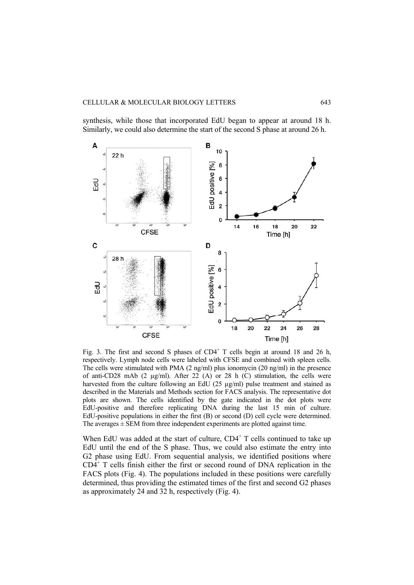synthesis, while those that incorporated EdU began to appear at around 18 h. Similarly, we could also determine the start of the second S phase at around 26 h.



Fig. 3. The first and second S phases of  $CD4^+$  T cells begin at around 18 and 26 h, respectively. Lymph node cells were labeled with CFSE and combined with spleen cells. The cells were stimulated with PMA (2 ng/ml) plus ionomycin (20 ng/ml) in the presence of anti-CD28 mAb (2  $\mu$ g/ml). After 22 (A) or 28 h (C) stimulation, the cells were harvested from the culture following an EdU (25 µg/ml) pulse treatment and stained as described in the Materials and Methods section for FACS analysis. The representative dot plots are shown. The cells identified by the gate indicated in the dot plots were EdU-positive and therefore replicating DNA during the last 15 min of culture. EdU-positive populations in either the first (B) or second (D) cell cycle were determined. The averages  $\pm$  SEM from three independent experiments are plotted against time.

When EdU was added at the start of culture,  $CD4<sup>+</sup>$  T cells continued to take up EdU until the end of the S phase. Thus, we could also estimate the entry into G2 phase using EdU. From sequential analysis, we identified positions where CD4<sup>+</sup> T cells finish either the first or second round of DNA replication in the FACS plots (Fig. 4). The populations included in these positions were carefully determined, thus providing the estimated times of the first and second G2 phases as approximately 24 and 32 h, respectively (Fig. 4).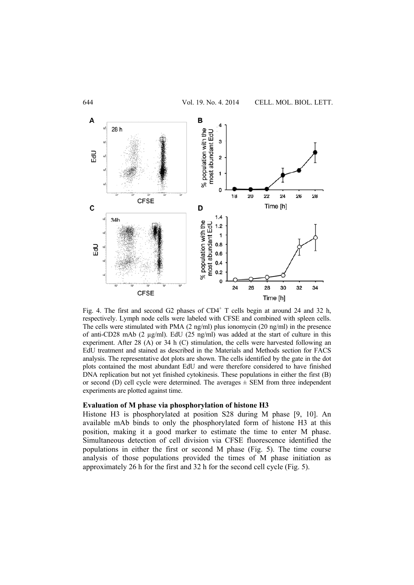

Fig. 4. The first and second G2 phases of  $CD4^+$  T cells begin at around 24 and 32 h, respectively. Lymph node cells were labeled with CFSE and combined with spleen cells. The cells were stimulated with PMA (2 ng/ml) plus ionomycin (20 ng/ml) in the presence of anti-CD28 mAb (2 µg/ml). EdU (25 ng/ml) was added at the start of culture in this experiment. After 28 (A) or 34 h (C) stimulation, the cells were harvested following an EdU treatment and stained as described in the Materials and Methods section for FACS analysis. The representative dot plots are shown. The cells identified by the gate in the dot plots contained the most abundant EdU and were therefore considered to have finished DNA replication but not yet finished cytokinesis. These populations in either the first (B) or second (D) cell cycle were determined. The averages  $\pm$  SEM from three independent experiments are plotted against time.

# **Evaluation of M phase via phosphorylation of histone H3**

Histone H3 is phosphorylated at position S28 during M phase [9, 10]. An available mAb binds to only the phosphorylated form of histone H3 at this position, making it a good marker to estimate the time to enter M phase. Simultaneous detection of cell division via CFSE fluorescence identified the populations in either the first or second M phase (Fig. 5). The time course analysis of those populations provided the times of M phase initiation as approximately 26 h for the first and 32 h for the second cell cycle (Fig. 5).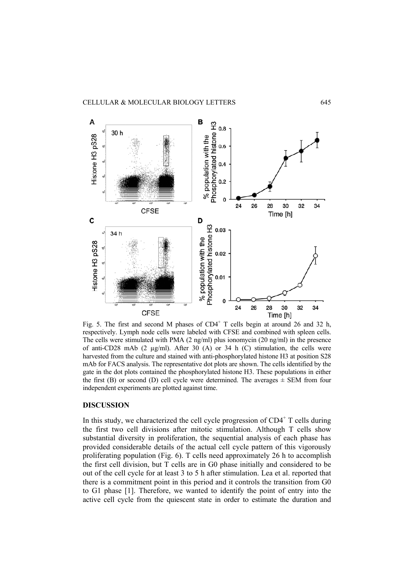

Fig. 5. The first and second M phases of  $CD4^+$  T cells begin at around 26 and 32 h, respectively. Lymph node cells were labeled with CFSE and combined with spleen cells. The cells were stimulated with PMA (2 ng/ml) plus ionomycin (20 ng/ml) in the presence of anti-CD28 mAb (2 µg/ml). After 30 (A) or 34 h (C) stimulation, the cells were harvested from the culture and stained with anti-phosphorylated histone H3 at position S28 mAb for FACS analysis. The representative dot plots are shown. The cells identified by the gate in the dot plots contained the phosphorylated histone H3. These populations in either the first (B) or second (D) cell cycle were determined. The averages  $\pm$  SEM from four independent experiments are plotted against time.

# **DISCUSSION**

In this study, we characterized the cell cycle progression of  $CD4<sup>+</sup>$  T cells during the first two cell divisions after mitotic stimulation. Although T cells show substantial diversity in proliferation, the sequential analysis of each phase has provided considerable details of the actual cell cycle pattern of this vigorously proliferating population (Fig. 6). T cells need approximately 26 h to accomplish the first cell division, but T cells are in G0 phase initially and considered to be out of the cell cycle for at least 3 to 5 h after stimulation. Lea et al. reported that there is a commitment point in this period and it controls the transition from G0 to G1 phase [1]. Therefore, we wanted to identify the point of entry into the active cell cycle from the quiescent state in order to estimate the duration and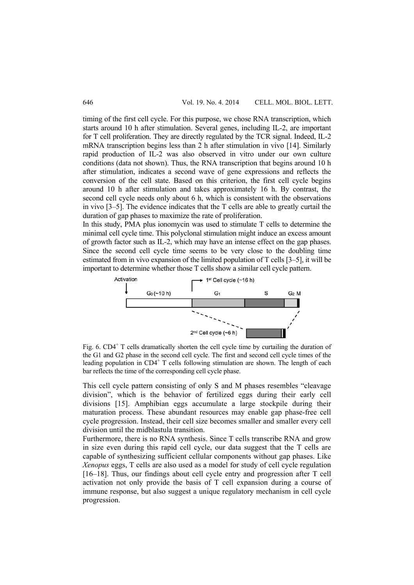timing of the first cell cycle. For this purpose, we chose RNA transcription, which starts around 10 h after stimulation. Several genes, including IL-2, are important for T cell proliferation. They are directly regulated by the TCR signal. Indeed, IL-2 mRNA transcription begins less than 2 h after stimulation in vivo [14]. Similarly rapid production of IL-2 was also observed in vitro under our own culture conditions (data not shown). Thus, the RNA transcription that begins around 10 h after stimulation, indicates a second wave of gene expressions and reflects the conversion of the cell state. Based on this criterion, the first cell cycle begins around 10 h after stimulation and takes approximately 16 h. By contrast, the second cell cycle needs only about 6 h, which is consistent with the observations in vivo [3–5]. The evidence indicates that the T cells are able to greatly curtail the duration of gap phases to maximize the rate of proliferation.

In this study, PMA plus ionomycin was used to stimulate T cells to determine the minimal cell cycle time. This polyclonal stimulation might induce an excess amount of growth factor such as IL-2, which may have an intense effect on the gap phases. Since the second cell cycle time seems to be very close to the doubling time estimated from in vivo expansion of the limited population of T cells [3–5], it will be important to determine whether those T cells show a similar cell cycle pattern.



Fig.  $6. \text{CD4}^+$  T cells dramatically shorten the cell cycle time by curtailing the duration of the G1 and G2 phase in the second cell cycle. The first and second cell cycle times of the leading population in  $CD4^+$  T cells following stimulation are shown. The length of each bar reflects the time of the corresponding cell cycle phase.

This cell cycle pattern consisting of only S and M phases resembles "cleavage division", which is the behavior of fertilized eggs during their early cell divisions [15]. Amphibian eggs accumulate a large stockpile during their maturation process. These abundant resources may enable gap phase-free cell cycle progression. Instead, their cell size becomes smaller and smaller every cell division until the midblastula transition.

Furthermore, there is no RNA synthesis. Since T cells transcribe RNA and grow in size even during this rapid cell cycle, our data suggest that the T cells are capable of synthesizing sufficient cellular components without gap phases. Like *Xenopus* eggs, T cells are also used as a model for study of cell cycle regulation [16–18]. Thus, our findings about cell cycle entry and progression after T cell activation not only provide the basis of T cell expansion during a course of immune response, but also suggest a unique regulatory mechanism in cell cycle progression.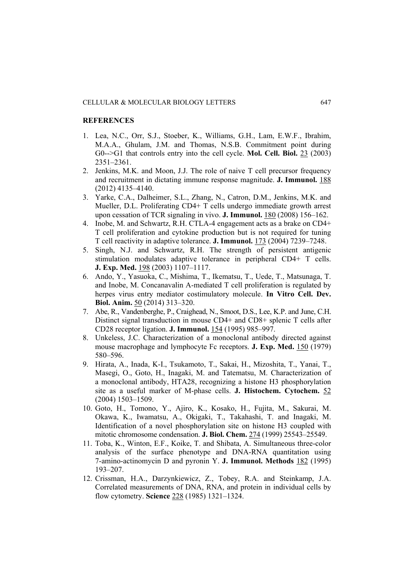# **REFERENCES**

- 1. Lea, N.C., Orr, S.J., Stoeber, K., Williams, G.H., Lam, E.W.F., Ibrahim, M.A.A., Ghulam, J.M. and Thomas, N.S.B. Commitment point during G0-->G1 that controls entry into the cell cycle. **Mol. Cell. Biol.** 23 (2003) 2351–2361.
- 2. Jenkins, M.K. and Moon, J.J. The role of naive T cell precursor frequency and recruitment in dictating immune response magnitude. **J. Immunol.** 188 (2012) 4135–4140.
- 3. Yarke, C.A., Dalheimer, S.L., Zhang, N., Catron, D.M., Jenkins, M.K. and Mueller, D.L. Proliferating CD4+ T cells undergo immediate growth arrest upon cessation of TCR signaling in vivo. **J. Immunol.** 180 (2008) 156–162.
- 4. Inobe, M. and Schwartz, R.H. CTLA-4 engagement acts as a brake on CD4+ T cell proliferation and cytokine production but is not required for tuning T cell reactivity in adaptive tolerance. **J. Immunol.** 173 (2004) 7239–7248.
- 5. Singh, N.J. and Schwartz, R.H. The strength of persistent antigenic stimulation modulates adaptive tolerance in peripheral CD4+ T cells. **J. Exp. Med.** 198 (2003) 1107–1117.
- 6. Ando, Y., Yasuoka, C., Mishima, T., Ikematsu, T., Uede, T., Matsunaga, T. and Inobe, M. Concanavalin A-mediated T cell proliferation is regulated by herpes virus entry mediator costimulatory molecule. **In Vitro Cell. Dev. Biol. Anim.** 50 (2014) 313–320.
- 7. Abe, R., Vandenberghe, P., Craighead, N., Smoot, D.S., Lee, K.P. and June, C.H. Distinct signal transduction in mouse CD4+ and CD8+ splenic T cells after CD28 receptor ligation. **J. Immunol.** 154 (1995) 985–997.
- 8. Unkeless, J.C. Characterization of a monoclonal antibody directed against mouse macrophage and lymphocyte Fc receptors. **J. Exp. Med.** 150 (1979) 580–596.
- 9. Hirata, A., Inada, K-I., Tsukamoto, T., Sakai, H., Mizoshita, T., Yanai, T., Masegi, O., Goto, H., Inagaki, M. and Tatematsu, M. Characterization of a monoclonal antibody, HTA28, recognizing a histone H3 phosphorylation site as a useful marker of M-phase cells. **J. Histochem. Cytochem.** 52 (2004) 1503–1509.
- 10. Goto, H., Tomono, Y., Ajiro, K., Kosako, H., Fujita, M., Sakurai, M. Okawa, K., Iwamatsu, A., Okigaki, T., Takahashi, T. and Inagaki, M. Identification of a novel phosphorylation site on histone H3 coupled with mitotic chromosome condensation. **J. Biol. Chem.** 274 (1999) 25543–25549.
- 11. Toba, K., Winton, E.F., Koike, T. and Shibata, A. Simultaneous three-color analysis of the surface phenotype and DNA-RNA quantitation using 7-amino-actinomycin D and pyronin Y. **J. Immunol. Methods** 182 (1995) 193–207.
- 12. Crissman, H.A., Darzynkiewicz, Z., Tobey, R.A. and Steinkamp, J.A. Correlated measurements of DNA, RNA, and protein in individual cells by flow cytometry. **Science** 228 (1985) 1321–1324.